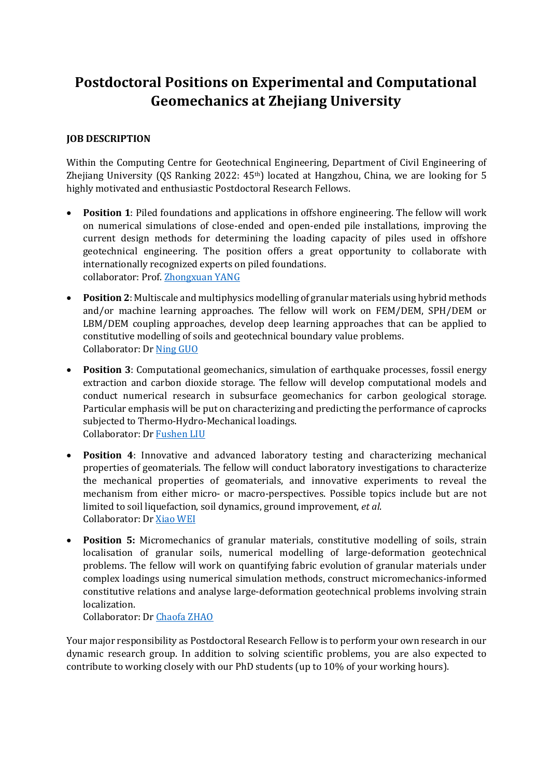# **Postdoctoral Positions on Experimental and Computational Geomechanics at Zhejiang University**

## **JOB DESCRIPTION**

Within the Computing Centre for Geotechnical Engineering, Department of Civil Engineering of Zhejiang University (QS Ranking 2022: 45<sup>th</sup>) located at Hangzhou, China, we are looking for 5 highly motivated and enthusiastic Postdoctoral Research Fellows.

- **Position 1**: Piled foundations and applications in offshore engineering. The fellow will work on numerical simulations of close-ended and open-ended pile installations, improving the current design methods for determining the loading capacity of piles used in offshore geotechnical engineering. The position offers a great opportunity to collaborate with internationally recognized experts on piled foundations. collaborator: Prof. [Zhongxuan YANG](https://person.zju.edu.cn/en/zxyang#0)
- **Position 2**: Multiscale and multiphysics modelling of granular materials using hybrid methods and/or machine learning approaches. The fellow will work on FEM/DEM, SPH/DEM or LBM/DEM coupling approaches, develop deep learning approaches that can be applied to constitutive modelling of soils and geotechnical boundary value problems. Collaborator: Dr [Ning GUO](https://person.zju.edu.cn/en/nguo)
- **Position 3**: Computational geomechanics, simulation of earthquake processes, fossil energy extraction and carbon dioxide storage. The fellow will develop computational models and conduct numerical research in subsurface geomechanics for carbon geological storage. Particular emphasis will be put on characterizing and predicting the performance of caprocks subjected to Thermo-Hydro-Mechanical loadings. Collaborator: Dr [Fushen LIU](https://person.zju.edu.cn/0019020)
- **Position 4**: Innovative and advanced laboratory testing and characterizing mechanical properties of geomaterials. The fellow will conduct laboratory investigations to characterize the mechanical properties of geomaterials, and innovative experiments to reveal the mechanism from either micro- or macro-perspectives. Possible topics include but are not limited to soil liquefaction, soil dynamics, ground improvement, *et al*. Collaborator: Dr [Xiao WEI](https://person.zju.edu.cn/weixiaos)
- **Position 5:** Micromechanics of granular materials, constitutive modelling of soils, strain localisation of granular soils, numerical modelling of large-deformation geotechnical problems. The fellow will work on quantifying fabric evolution of granular materials under complex loadings using numerical simulation methods, construct micromechanics-informed constitutive relations and analyse large-deformation geotechnical problems involving strain localization.

Collaborator: Dr [Chaofa ZHAO](https://person.zju.edu.cn/en/chaofa)

Your major responsibility as Postdoctoral Research Fellow is to perform your own research in our dynamic research group. In addition to solving scientific problems, you are also expected to contribute to working closely with our PhD students (up to 10% of your working hours).